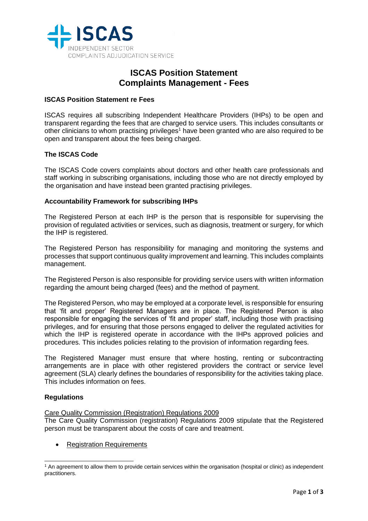

# **ISCAS Position Statement Complaints Management - Fees**

## **ISCAS Position Statement re Fees**

ISCAS requires all subscribing Independent Healthcare Providers (IHPs) to be open and transparent regarding the fees that are charged to service users. This includes consultants or other clinicians to whom practising privileges<sup>1</sup> have been granted who are also required to be open and transparent about the fees being charged.

## **The ISCAS Code**

The ISCAS Code covers complaints about doctors and other health care professionals and staff working in subscribing organisations, including those who are not directly employed by the organisation and have instead been granted practising privileges.

#### **Accountability Framework for subscribing IHPs**

The Registered Person at each IHP is the person that is responsible for supervising the provision of regulated activities or services, such as diagnosis, treatment or surgery, for which the IHP is registered.

The Registered Person has responsibility for managing and monitoring the systems and processes that support continuous quality improvement and learning. This includes complaints management.

The Registered Person is also responsible for providing service users with written information regarding the amount being charged (fees) and the method of payment.

The Registered Person, who may be employed at a corporate level, is responsible for ensuring that 'fit and proper' Registered Managers are in place. The Registered Person is also responsible for engaging the services of 'fit and proper' staff, including those with practising privileges, and for ensuring that those persons engaged to deliver the regulated activities for which the IHP is registered operate in accordance with the IHPs approved policies and procedures. This includes policies relating to the provision of information regarding fees.

The Registered Manager must ensure that where hosting, renting or subcontracting arrangements are in place with other registered providers the contract or service level agreement (SLA) clearly defines the boundaries of responsibility for the activities taking place. This includes information on fees.

## **Regulations**

-

#### Care Quality Commission (Registration) Regulations 2009

The Care Quality Commission (registration) Regulations 2009 stipulate that the Registered person must be transparent about the costs of care and treatment.

**Registration Requirements** 

<sup>1</sup> An agreement to allow them to provide certain services within the organisation (hospital or clinic) as independent practitioners.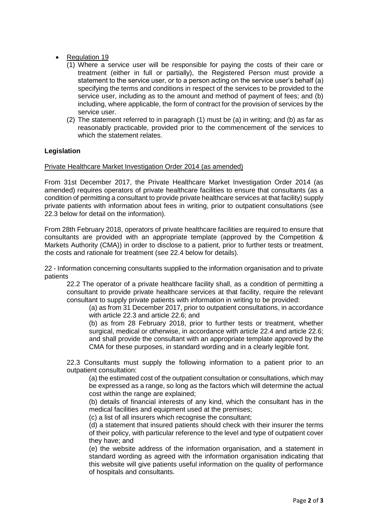## Regulation 19

- (1) Where a service user will be responsible for paying the costs of their care or treatment (either in full or partially), the Registered Person must provide a statement to the service user, or to a person acting on the service user's behalf (a) specifying the terms and conditions in respect of the services to be provided to the service user, including as to the amount and method of payment of fees; and (b) including, where applicable, the form of contract for the provision of services by the service user.
- (2) The statement referred to in paragraph (1) must be (a) in writing; and (b) as far as reasonably practicable, provided prior to the commencement of the services to which the statement relates.

## **Legislation**

#### Private Healthcare Market Investigation Order 2014 (as amended)

From 31st December 2017, the Private Healthcare Market Investigation Order 2014 (as amended) requires operators of private healthcare facilities to ensure that consultants (as a condition of permitting a consultant to provide private healthcare services at that facility) supply private patients with information about fees in writing, prior to outpatient consultations (see 22.3 below for detail on the information).

From 28th February 2018, operators of private healthcare facilities are required to ensure that consultants are provided with an appropriate template (approved by the Competition & Markets Authority (CMA)) in order to disclose to a patient, prior to further tests or treatment, the costs and rationale for treatment (see 22.4 below for details).

22 - Information concerning consultants supplied to the information organisation and to private patients

22.2 The operator of a private healthcare facility shall, as a condition of permitting a consultant to provide private healthcare services at that facility, require the relevant consultant to supply private patients with information in writing to be provided:

(a) as from 31 December 2017, prior to outpatient consultations, in accordance with article 22.3 and article 22.6; and

(b) as from 28 February 2018, prior to further tests or treatment, whether surgical, medical or otherwise, in accordance with article 22.4 and article 22.6; and shall provide the consultant with an appropriate template approved by the CMA for these purposes, in standard wording and in a clearly legible font.

22.3 Consultants must supply the following information to a patient prior to an outpatient consultation:

(a) the estimated cost of the outpatient consultation or consultations, which may be expressed as a range, so long as the factors which will determine the actual cost within the range are explained;

(b) details of financial interests of any kind, which the consultant has in the medical facilities and equipment used at the premises;

(c) a list of all insurers which recognise the consultant;

(d) a statement that insured patients should check with their insurer the terms of their policy, with particular reference to the level and type of outpatient cover they have; and

(e) the website address of the information organisation, and a statement in standard wording as agreed with the information organisation indicating that this website will give patients useful information on the quality of performance of hospitals and consultants.